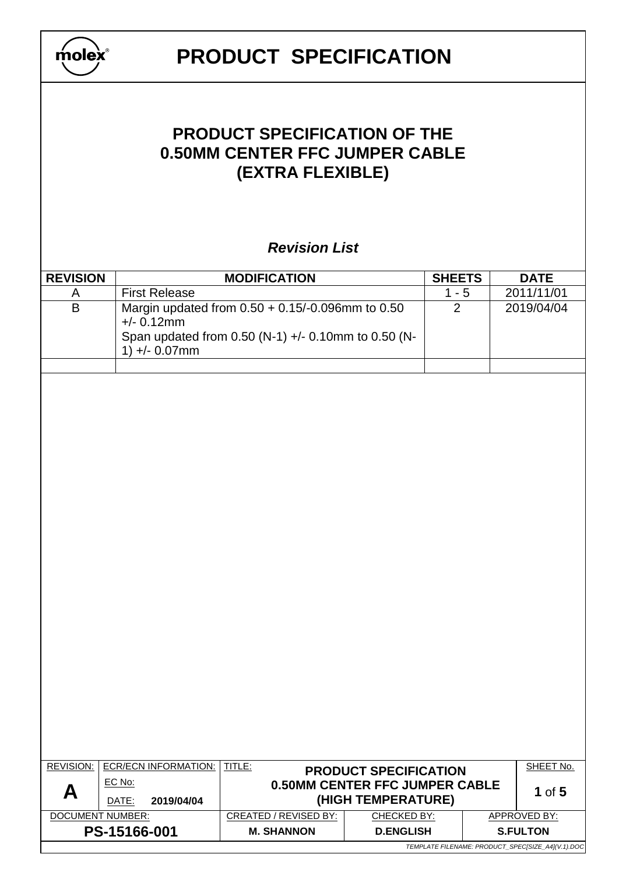|                  |                                   | <b>PRODUCT SPECIFICATION</b>                                                                     |                                                       |               |                                        |
|------------------|-----------------------------------|--------------------------------------------------------------------------------------------------|-------------------------------------------------------|---------------|----------------------------------------|
|                  |                                   | <b>PRODUCT SPECIFICATION OF THE</b><br><b>0.50MM CENTER FFC JUMPER CABLE</b><br>(EXTRA FLEXIBLE) |                                                       |               |                                        |
|                  |                                   | <b>Revision List</b>                                                                             |                                                       |               |                                        |
| <b>REVISION</b>  |                                   | <b>MODIFICATION</b>                                                                              |                                                       | <b>SHEETS</b> | <b>DATE</b>                            |
| A                | <b>First Release</b>              |                                                                                                  |                                                       | $1 - 5$       | 2011/11/01                             |
| $\overline{B}$   |                                   | Margin updated from 0.50 + 0.15/-0.096mm to 0.50                                                 |                                                       | 2             | 2019/04/04                             |
|                  | $+/- 0.12$ mm<br>$1) +/- 0.07$ mm | Span updated from 0.50 (N-1) +/- 0.10mm to 0.50 (N-                                              |                                                       |               |                                        |
|                  |                                   |                                                                                                  |                                                       |               |                                        |
|                  |                                   |                                                                                                  |                                                       |               |                                        |
|                  |                                   |                                                                                                  |                                                       |               |                                        |
|                  |                                   |                                                                                                  |                                                       |               |                                        |
|                  |                                   |                                                                                                  |                                                       |               |                                        |
|                  |                                   |                                                                                                  |                                                       |               |                                        |
|                  |                                   |                                                                                                  |                                                       |               |                                        |
|                  |                                   |                                                                                                  |                                                       |               |                                        |
|                  |                                   |                                                                                                  |                                                       |               |                                        |
|                  |                                   |                                                                                                  |                                                       |               |                                        |
|                  |                                   |                                                                                                  |                                                       |               |                                        |
|                  |                                   |                                                                                                  |                                                       |               |                                        |
|                  |                                   |                                                                                                  |                                                       |               |                                        |
|                  |                                   |                                                                                                  |                                                       |               |                                        |
|                  |                                   |                                                                                                  |                                                       |               |                                        |
|                  |                                   |                                                                                                  |                                                       |               |                                        |
|                  |                                   |                                                                                                  |                                                       |               |                                        |
|                  |                                   |                                                                                                  |                                                       |               |                                        |
| <b>REVISION:</b> | <b>ECR/ECN INFORMATION:</b>       | TITLE:                                                                                           | <b>PRODUCT SPECIFICATION</b>                          |               | SHEET No.                              |
| А                | EC No:<br>2019/04/04<br>DATE:     |                                                                                                  | 0.50MM CENTER FFC JUMPER CABLE                        |               | 1 of $5$                               |
| DOCUMENT NUMBER: | PS-15166-001                      | <b>CREATED / REVISED BY:</b><br><b>M. SHANNON</b>                                                | (HIGH TEMPERATURE)<br>CHECKED BY:<br><b>D.ENGLISH</b> |               | <b>APPROVED BY:</b><br><b>S.FULTON</b> |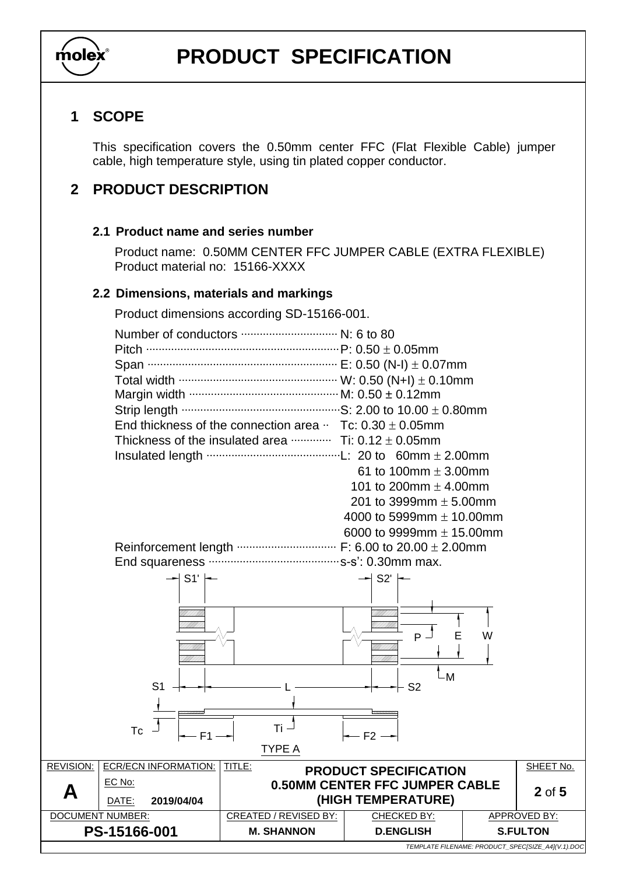

## **1 SCOPE**

This specification covers the 0.50mm center FFC (Flat Flexible Cable) jumper cable, high temperature style, using tin plated copper conductor.

## **2 PRODUCT DESCRIPTION**

#### **2.1 Product name and series number**

Product name: 0.50MM CENTER FFC JUMPER CABLE (EXTRA FLEXIBLE) Product material no: 15166-XXXX

#### **2.2 Dimensions, materials and markings**

Product dimensions according SD-15166-001.

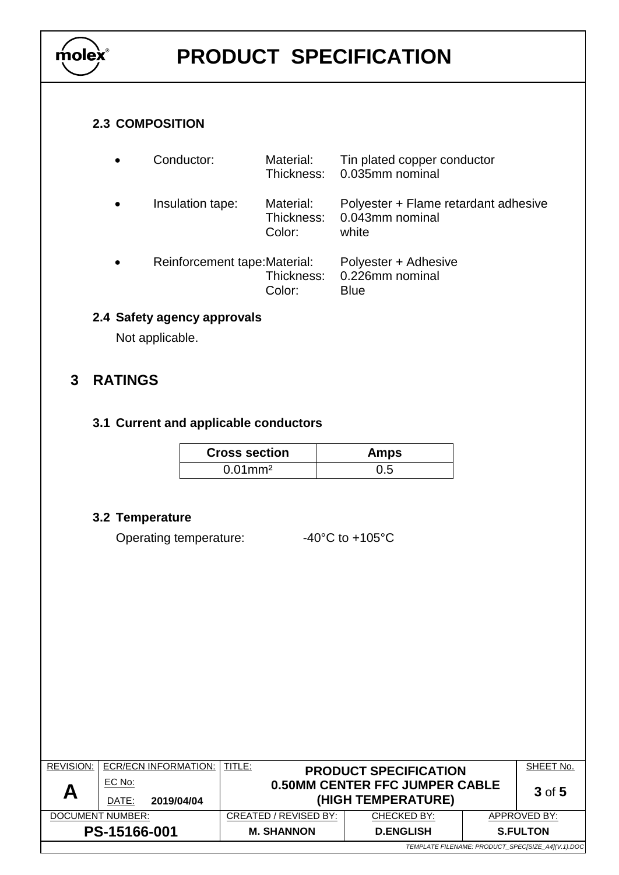

#### **2.3 COMPOSITION**

| Conductor:                    | Material:                         | Tin plated copper conductor<br>Thickness: 0.035mm nominal        |
|-------------------------------|-----------------------------------|------------------------------------------------------------------|
| Insulation tape:              | Material:<br>Thickness:<br>Color: | Polyester + Flame retardant adhesive<br>0.043mm nominal<br>white |
| Reinforcement tape: Material: | Thickness:<br>Color:              | Polyester + Adhesive<br>0.226mm nominal<br>Blue                  |

## **2.4 Safety agency approvals**

Not applicable.

## **3 RATINGS**

### **3.1 Current and applicable conductors**

| <b>Cross section</b>   | Amps |
|------------------------|------|
| $0.01$ mm <sup>2</sup> | 0.5  |

### **3.2 Temperature**

Operating temperature: -40°C to +105°C

| <b>REVISION:</b>                                  |        | <b>ECR/ECN INFORMATION:   TITLE:</b>                 |                                       | <b>PRODUCT SPECIFICATION</b> |  | SHEET No. |  |  |
|---------------------------------------------------|--------|------------------------------------------------------|---------------------------------------|------------------------------|--|-----------|--|--|
|                                                   | EC No: |                                                      | <b>0.50MM CENTER FFC JUMPER CABLE</b> |                              |  | 3 of 5    |  |  |
| A                                                 | DATE:  | 2019/04/04                                           |                                       | (HIGH TEMPERATURE)           |  |           |  |  |
| DOCUMENT NUMBER:                                  |        | CREATED / REVISED BY:<br>CHECKED BY:<br>APPROVED BY: |                                       |                              |  |           |  |  |
| PS-15166-001                                      |        | <b>M. SHANNON</b>                                    | <b>D.ENGLISH</b><br><b>S.FULTON</b>   |                              |  |           |  |  |
| TEMPLATE FILENAME: PRODUCT_SPEC[SIZE_A4](V.1).DOC |        |                                                      |                                       |                              |  |           |  |  |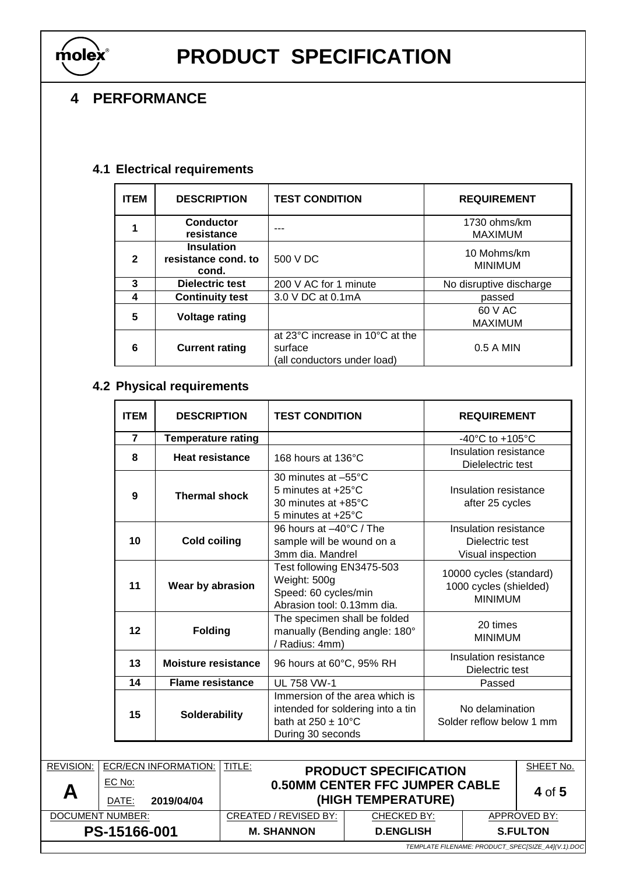

## **4 PERFORMANCE**

## **4.1 Electrical requirements**

| <b>ITEM</b>  | <b>DESCRIPTION</b>                                | <b>TEST CONDITION</b>                                                     | <b>REQUIREMENT</b>             |
|--------------|---------------------------------------------------|---------------------------------------------------------------------------|--------------------------------|
|              | <b>Conductor</b><br>resistance                    |                                                                           | 1730 ohms/km<br><b>MAXIMUM</b> |
| $\mathbf{2}$ | <b>Insulation</b><br>resistance cond. to<br>cond. | 500 V DC                                                                  | 10 Mohms/km<br><b>MINIMUM</b>  |
| 3            | Dielectric test                                   | 200 V AC for 1 minute                                                     | No disruptive discharge        |
| 4            | <b>Continuity test</b>                            | 3.0 V DC at 0.1mA                                                         | passed                         |
| 5            | <b>Voltage rating</b>                             |                                                                           | 60 V AC<br><b>MAXIMUM</b>      |
| 6            | <b>Current rating</b>                             | at 23°C increase in 10°C at the<br>surface<br>(all conductors under load) | $0.5 A$ MIN                    |

## **4.2 Physical requirements**

| <b>ITEM</b>    | <b>DESCRIPTION</b>        | <b>TEST CONDITION</b>                                                                                                    | <b>REQUIREMENT</b>                                                  |
|----------------|---------------------------|--------------------------------------------------------------------------------------------------------------------------|---------------------------------------------------------------------|
| $\overline{7}$ | <b>Temperature rating</b> |                                                                                                                          | -40 $^{\circ}$ C to +105 $^{\circ}$ C                               |
| 8              | <b>Heat resistance</b>    | 168 hours at 136°C                                                                                                       | Insulation resistance<br>Dielelectric test                          |
| 9              | <b>Thermal shock</b>      | 30 minutes at -55°C<br>5 minutes at +25°C<br>30 minutes at $+85^{\circ}$ C<br>5 minutes at +25°C                         | Insulation resistance<br>after 25 cycles                            |
| 10             | <b>Cold coiling</b>       | 96 hours at $-40^{\circ}$ C / The<br>sample will be wound on a<br>3mm dia. Mandrel                                       | Insulation resistance<br>Dielectric test<br>Visual inspection       |
| 11             | Wear by abrasion          | Test following EN3475-503<br>Weight: 500g<br>Speed: 60 cycles/min<br>Abrasion tool: 0.13mm dia.                          | 10000 cycles (standard)<br>1000 cycles (shielded)<br><b>MINIMUM</b> |
| 12             | <b>Folding</b>            | The specimen shall be folded<br>manually (Bending angle: 180°<br>/ Radius: 4mm)                                          | 20 times<br><b>MINIMUM</b>                                          |
| 13             | Moisture resistance       | 96 hours at 60°C, 95% RH                                                                                                 | Insulation resistance<br>Dielectric test                            |
| 14             | <b>Flame resistance</b>   | <b>UL 758 VW-1</b>                                                                                                       | Passed                                                              |
| 15             | <b>Solderability</b>      | Immersion of the area which is<br>intended for soldering into a tin<br>bath at $250 + 10^{\circ}$ C<br>During 30 seconds | No delamination<br>Solder reflow below 1 mm                         |

| <b>REVISION:</b>                                  |                 | ECR/ECN INFORMATION:  | TITLE:                              | <b>PRODUCT SPECIFICATION</b>                                |              | SHEET No. |
|---------------------------------------------------|-----------------|-----------------------|-------------------------------------|-------------------------------------------------------------|--------------|-----------|
| Α                                                 | EC No:<br>DATE: | 2019/04/04            |                                     | <b>0.50MM CENTER FFC JUMPER CABLE</b><br>(HIGH TEMPERATURE) |              | 4 of 5    |
| DOCUMENT NUMBER:                                  |                 | CREATED / REVISED BY: | CHECKED BY:                         |                                                             | APPROVED BY: |           |
| PS-15166-001                                      |                 | <b>M. SHANNON</b>     | <b>D.ENGLISH</b><br><b>S.FULTON</b> |                                                             |              |           |
| TEMPLATE FILENAME: PRODUCT_SPEC[SIZE_A4](V.1).DOC |                 |                       |                                     |                                                             |              |           |